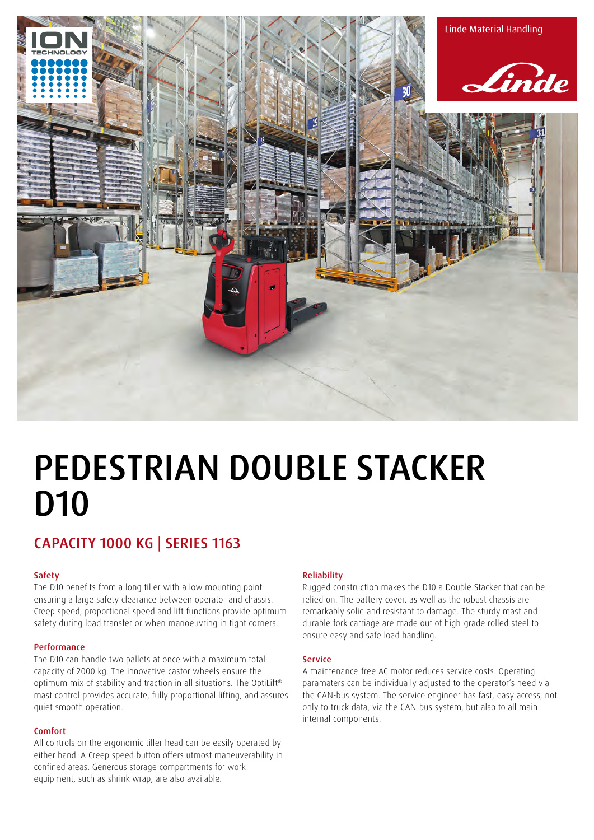

# PEDESTRIAN DOUBLE STACKER D10

### CAPACITY 1000 KG | SERIES 1163

#### **Safety**

The D10 benefits from a long tiller with a low mounting point ensuring a large safety clearance between operator and chassis. Creep speed, proportional speed and lift functions provide optimum safety during load transfer or when manoeuvring in tight corners.

#### **Performance**

The D10 can handle two pallets at once with a maximum total capacity of 2000 kg. The innovative castor wheels ensure the optimum mix of stability and traction in all situations. The OptiLift® mast control provides accurate, fully proportional lifting, and assures quiet smooth operation.

#### Comfort

All controls on the ergonomic tiller head can be easily operated by either hand. A Creep speed button offers utmost maneuverability in confined areas. Generous storage compartments for work equipment, such as shrink wrap, are also available.

#### **Reliability**

Rugged construction makes the D10 a Double Stacker that can be relied on. The battery cover, as well as the robust chassis are remarkably solid and resistant to damage. The sturdy mast and durable fork carriage are made out of high-grade rolled steel to ensure easy and safe load handling.

#### Service

A maintenance-free AC motor reduces service costs. Operating paramaters can be individually adjusted to the operator's need via the CAN-bus system. The service engineer has fast, easy access, not only to truck data, via the CAN-bus system, but also to all main internal components.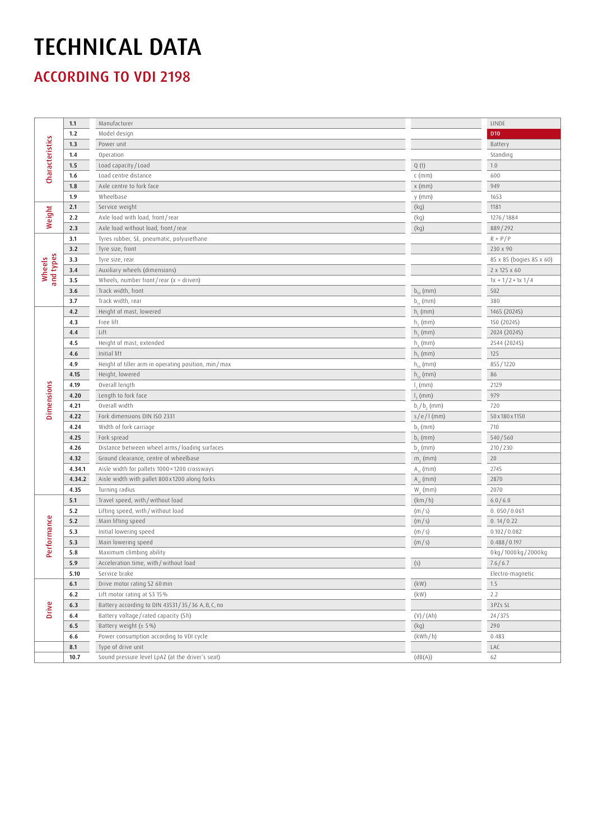### TECHNICAL DATA

ACCORDING TO VDI 2198

|                     | 1.1         | Manufacturer                                                           |                                 | LINDE                    |
|---------------------|-------------|------------------------------------------------------------------------|---------------------------------|--------------------------|
| Characteristics     | 1.2         | Model design                                                           |                                 | D <sub>10</sub>          |
|                     | 1.3         | Power unit                                                             |                                 | Battery                  |
|                     | 1.4         | Operation                                                              |                                 | Standing                 |
|                     | 1.5         | Load capacity/Load                                                     | Q(t)                            | 1.0                      |
|                     | 1.6         | Load centre distance                                                   | $c$ (mm)                        | 600                      |
|                     | 1.8         | Axle centre to fork face                                               | $x \text{ (mm)}$                | 949                      |
|                     | 1.9         | Wheelbase                                                              | y (mm)                          | 1653                     |
| Weight              | 2.1         | Service weight                                                         | (kg)                            | 1181                     |
|                     | 2.2         | Axle load with load, front/rear                                        | (kg)                            | 1276/1884                |
|                     | 2.3         | Axle load without load, front/rear                                     | (kg)                            | 889/292                  |
|                     | 3.1         | Tyres rubber, SE, pneumatic, polyurethane                              |                                 | $R + P/P$                |
|                     | 3.2         | Tyre size, front                                                       |                                 | 230 x 90                 |
|                     | 3.3         | Tyre size, rear                                                        |                                 | 85 x 85 (bogies 85 x 60) |
| and types<br>Wheels | 3.4         | Auxiliary wheels (dimensions)                                          |                                 | 2 x 125 x 60             |
|                     | 3.5         | Wheels, number front/rear $(x =$ driven)                               |                                 | $1x + 1/2 + 1x$ 1/4      |
|                     | 3.6         | Track width, front                                                     | $b_{10}$ (mm)                   | 502                      |
|                     | 3.7         | Track width, rear                                                      | $b_{11}$ (mm)                   | 380                      |
|                     | 4.2         | Height of mast, lowered                                                | $h1$ (mm)                       | 1465 (2024S)             |
|                     | 4.3         | Free lift                                                              | h, (mm)                         | 150 (2024S)              |
|                     | 4.4         | Lift                                                                   | $h3$ (mm)                       | 2024 (2024S)             |
|                     | 4.5         | Height of mast, extended                                               | $h_{\scriptscriptstyle A}$ (mm) | 2544 (2024S)             |
|                     | 4.6         | Initial lift                                                           | $h_{\epsilon}$ (mm)             | 125                      |
|                     | 4.9         | Height of tiller arm in operating position, min/max                    | $h_{14}$ (mm)                   | 855/1220                 |
|                     | 4.15        | Height, lowered                                                        | $h_{13}$ (mm)                   | 86                       |
|                     | 4.19        | Overall length                                                         | l, (mm)                         | 2129                     |
| Dimensions          | 4.20        | Length to fork face                                                    | I, (mm)                         | 979                      |
|                     | 4.21        | Overall width                                                          | b, / b, (mm)                    | 720                      |
|                     | 4.22        | Fork dimensions DIN ISO 2331                                           | $s/e/l$ (mm)                    | 50 x 180 x 1150          |
|                     | 4.24        | Width of fork carriage                                                 | b, (mm)                         | 710                      |
|                     | 4.25        | Fork spread                                                            | $b5$ (mm)                       | 540/560                  |
|                     | 4.26        | Distance between wheel arms/loading surfaces                           | $b_4$ (mm)                      | 210/230                  |
|                     | 4.32        | Ground clearance, centre of wheelbase                                  | $m2$ (mm)                       | 20                       |
|                     | 4.34.1      | Aisle width for pallets 1000 × 1200 crossways                          | $A_{st}$ (mm)                   | 2745                     |
|                     | 4.34.2      | Aisle width with pallet 800x1200 along forks                           | $A_{st}$ (mm)                   | 2870                     |
| Performance         | 4.35        | Turning radius                                                         | $W_a$ (mm)                      | 2070                     |
|                     | 5.1         | Travel speed, with/without load                                        | (km/h)                          | 6.0/6.0                  |
|                     | 5.2         | Lifting speed, with/without load                                       | (m/s)                           | 0.050/0.061              |
|                     | 5.2         | Main lifting speed                                                     | (m/s)                           | 0.14/0.22                |
|                     | 5.3         | Initial lowering speed                                                 | (m/s)                           | 0.102 / 0.082            |
|                     |             |                                                                        |                                 |                          |
|                     | 5.3         | Main lowering speed                                                    | (m/s)                           | 0.488/0.197              |
|                     | 5.8         | Maximum climbing ability                                               |                                 | 0 kg / 1000 kg / 2000 kg |
|                     | 5.9         | Acceleration time, with/without load                                   | $(\mathsf{s})$                  | 7.6/6.7                  |
|                     | 5.10        | Service brake                                                          |                                 | Electro-magnetic         |
|                     | 6.1         | Drive motor rating S2 60 min                                           | (kW)                            | 1.5                      |
|                     | 6.2         | Lift motor rating at S3 15%                                            | (kW)                            | 2.2                      |
|                     | 6.3         | Battery according to DIN 43531/35/36 A, B, C, no                       |                                 | 3 PZs SL                 |
| Drive               | 6.4         | Battery voltage / rated capacity (5h)                                  | (V)/(Ah)                        | 24/375                   |
|                     | 6.5         | Battery weight $(\pm 5\%)$                                             | (kg)                            | 290                      |
|                     | 6.6         | Power consumption according to VDI cycle                               | (kWh/h)                         | 0.483                    |
|                     | 8.1<br>10.7 | Type of drive unit<br>Sound pressure level LpAZ (at the driver's seat) | (dB(A))                         | LAC<br>62                |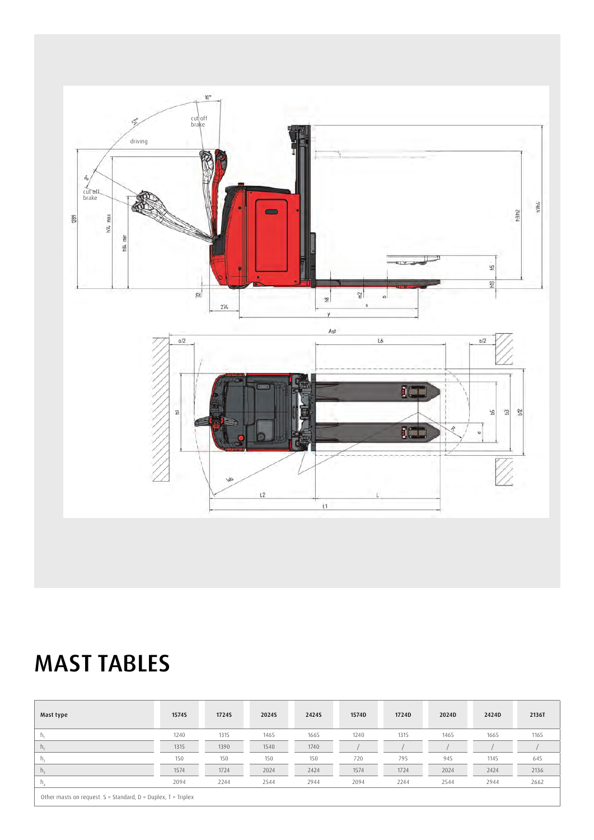

### MAST TABLES

| Mast type                                                     | 1574S | 1724S | <b>2024S</b> | 2424S | 1574D | 1724D | 2024D | 2424D | 2136T |
|---------------------------------------------------------------|-------|-------|--------------|-------|-------|-------|-------|-------|-------|
|                                                               | 1240  | 1315  | 1465         | 1665  | 1240  | 1315  | 1465  | 1665  | 1165  |
| h,                                                            | 1315  | 1390  | 1540         | 1740  |       |       |       |       |       |
| n.                                                            | 150   | 150   | 150          | 150   | 720   | 795   | 945   | 1145  | 645   |
| n.                                                            | 1574  | 1724  | 2024         | 2424  | 1574  | 1724  | 2024  | 2424  | 2136  |
|                                                               | 2094  | 2244  | 2544         | 2944  | 2094  | 2244  | 2544  | 2944  | 2662  |
| Other masts on request. S = Standard, D = Duplex, T = Triplex |       |       |              |       |       |       |       |       |       |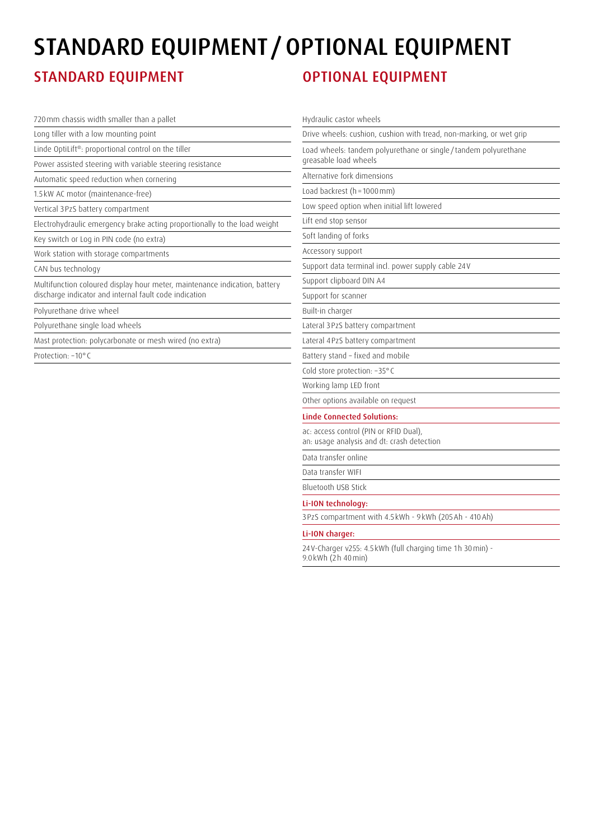## STANDARD EQUIPMENT / OPTIONAL EQUIPMENT

### STANDARD EQUIPMENT **OPTIONAL EQUIPMENT**

| 720 mm chassis width smaller than a pallet                                 | Hydraulic castor wheels                                                                 |  |  |  |  |
|----------------------------------------------------------------------------|-----------------------------------------------------------------------------------------|--|--|--|--|
| Long tiller with a low mounting point                                      | Drive wheels: cushion, cushion with tread, non-marking, or wet grip                     |  |  |  |  |
| Linde OptiLift®: proportional control on the tiller                        | Load wheels: tandem polyurethane or single/tandem polyurethane<br>greasable load wheels |  |  |  |  |
| Power assisted steering with variable steering resistance                  |                                                                                         |  |  |  |  |
| Automatic speed reduction when cornering                                   | Alternative fork dimensions                                                             |  |  |  |  |
| 1.5 kW AC motor (maintenance-free)                                         | Load backrest (h = 1000 mm)                                                             |  |  |  |  |
| Vertical 3PzS battery compartment                                          | Low speed option when initial lift lowered                                              |  |  |  |  |
| Electrohydraulic emergency brake acting proportionally to the load weight  | Lift end stop sensor                                                                    |  |  |  |  |
| Key switch or Log in PIN code (no extra)                                   | Soft landing of forks                                                                   |  |  |  |  |
| Work station with storage compartments                                     | Accessory support                                                                       |  |  |  |  |
| CAN bus technology                                                         | Support data terminal incl. power supply cable 24V                                      |  |  |  |  |
| Multifunction coloured display hour meter, maintenance indication, battery | Support clipboard DIN A4                                                                |  |  |  |  |
| discharge indicator and internal fault code indication                     | Support for scanner                                                                     |  |  |  |  |
| Polyurethane drive wheel                                                   | Built-in charger                                                                        |  |  |  |  |
| Polyurethane single load wheels                                            | Lateral 3PzS battery compartment                                                        |  |  |  |  |
| Mast protection: polycarbonate or mesh wired (no extra)                    | Lateral 4PzS battery compartment                                                        |  |  |  |  |
| Protection: -10°C                                                          | Battery stand - fixed and mobile                                                        |  |  |  |  |
|                                                                            | Cold store protection: -35°C                                                            |  |  |  |  |
|                                                                            |                                                                                         |  |  |  |  |

y cable 24V Working lamp LED front Other options available on request Linde Connected Solutions: ac: access control (PIN or RFID Dual), an: usage analysis and dt: crash detection Data transfer online Data transfer WIFI

Bluetooth USB Stick

#### Li-ION technology:

3PzS compartment with 4.5 kWh - 9kWh (205Ah - 410Ah)

#### Li-ION charger:

24V-Charger v255: 4.5 kWh (full charging time 1h 30min) - 9.0kWh (2h 40min)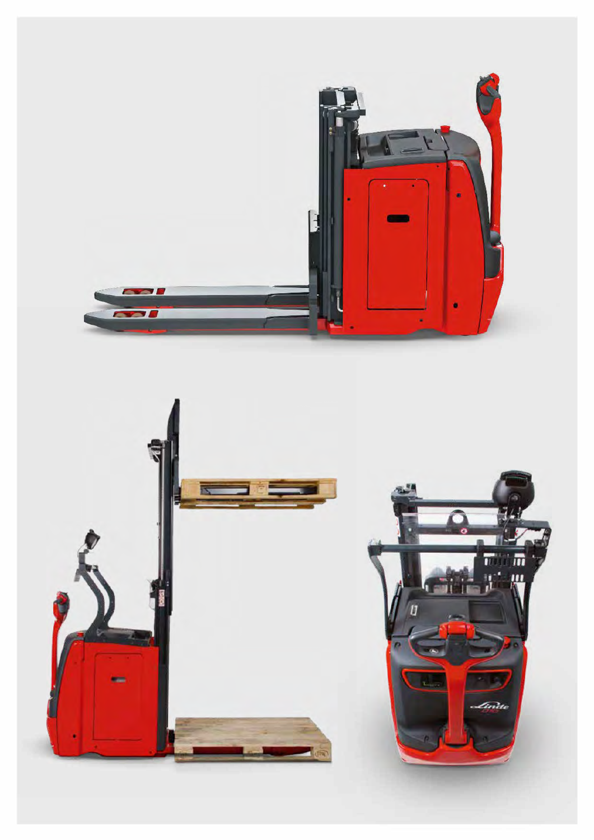